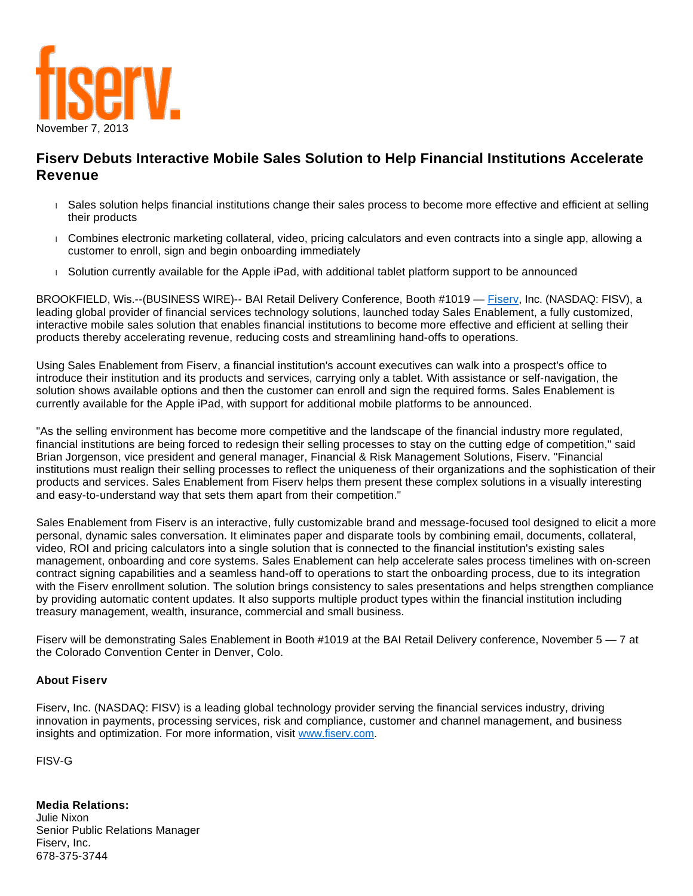

## **Fiserv Debuts Interactive Mobile Sales Solution to Help Financial Institutions Accelerate Revenue**

- Sales solution helps financial institutions change their sales process to become more effective and efficient at selling their products
- Combines electronic marketing collateral, video, pricing calculators and even contracts into a single app, allowing a customer to enroll, sign and begin onboarding immediately
- Solution currently available for the Apple iPad, with additional tablet platform support to be announced

BROOKFIELD, Wis.--(BUSINESS WIRE)-- BAI Retail Delivery Conference, Booth #1019 — Fisery, Inc. (NASDAQ: FISV), a leading global provider of financial services technology solutions, launched today Sales Enablement, a fully customized, interactive mobile sales solution that enables financial institutions to become more effective and efficient at selling their products thereby accelerating revenue, reducing costs and streamlining hand-offs to operations.

Using Sales Enablement from Fiserv, a financial institution's account executives can walk into a prospect's office to introduce their institution and its products and services, carrying only a tablet. With assistance or self-navigation, the solution shows available options and then the customer can enroll and sign the required forms. Sales Enablement is currently available for the Apple iPad, with support for additional mobile platforms to be announced.

"As the selling environment has become more competitive and the landscape of the financial industry more regulated, financial institutions are being forced to redesign their selling processes to stay on the cutting edge of competition," said Brian Jorgenson, vice president and general manager, Financial & Risk Management Solutions, Fiserv. "Financial institutions must realign their selling processes to reflect the uniqueness of their organizations and the sophistication of their products and services. Sales Enablement from Fiserv helps them present these complex solutions in a visually interesting and easy-to-understand way that sets them apart from their competition."

Sales Enablement from Fiserv is an interactive, fully customizable brand and message-focused tool designed to elicit a more personal, dynamic sales conversation. It eliminates paper and disparate tools by combining email, documents, collateral, video, ROI and pricing calculators into a single solution that is connected to the financial institution's existing sales management, onboarding and core systems. Sales Enablement can help accelerate sales process timelines with on-screen contract signing capabilities and a seamless hand-off to operations to start the onboarding process, due to its integration with the Fiserv enrollment solution. The solution brings consistency to sales presentations and helps strengthen compliance by providing automatic content updates. It also supports multiple product types within the financial institution including treasury management, wealth, insurance, commercial and small business.

Fiserv will be demonstrating Sales Enablement in Booth #1019 at the BAI Retail Delivery conference, November 5 – 7 at the Colorado Convention Center in Denver, Colo.

## **About Fiserv**

Fiserv, Inc. (NASDAQ: FISV) is a leading global technology provider serving the financial services industry, driving innovation in payments, processing services, risk and compliance, customer and channel management, and business insights and optimization. For more information, visit [www.fiserv.com.](http://cts.businesswire.com/ct/CT?id=smartlink&url=http%3A%2F%2Fwww.fiserv.com&esheet=50745875&newsitemid=20131107005276&lan=en-US&anchor=www.fiserv.com&index=2&md5=49cccad2e55cc0e6576f0874eadac51a)

FISV-G

**Media Relations:** Julie Nixon Senior Public Relations Manager Fiserv, Inc. 678-375-3744